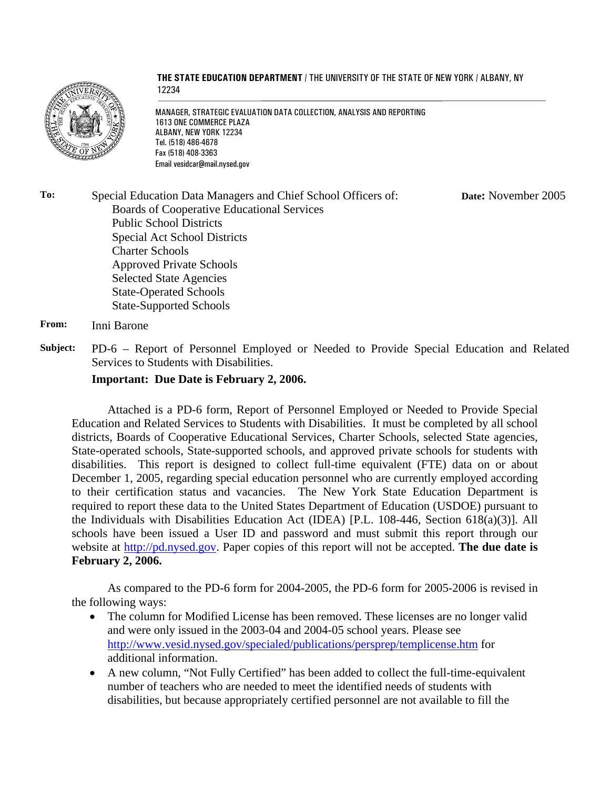

**THE STATE EDUCATION DEPARTMENT** / THE UNIVERSITY OF THE STATE OF NEW YORK / ALBANY, NY 12234

MANAGER, STRATEGIC EVALUATION DATA COLLECTION, ANALYSIS AND REPORTING 1613 ONE COMMERCE PLAZA ALBANY, NEW YORK 12234 Tel. (518) 486-4678 Fax (518) 408-3363 Email vesidcar@mail.nysed.gov

**To:** Special Education Data Managers and Chief School Officers of: Boards of Cooperative Educational Services Public School Districts Special Act School Districts Charter Schools Approved Private Schools Selected State Agencies State-Operated Schools State-Supported Schools **Date:** November 2005

**From:** Inni Barone

**Subject:** PD-6 – Report of Personnel Employed or Needed to Provide Special Education and Related Services to Students with Disabilities.

## **Important: Due Date is February 2, 2006.**

Attached is a PD-6 form, Report of Personnel Employed or Needed to Provide Special Education and Related Services to Students with Disabilities. It must be completed by all school districts, Boards of Cooperative Educational Services, Charter Schools, selected State agencies, State-operated schools, State-supported schools, and approved private schools for students with disabilities. This report is designed to collect full-time equivalent (FTE) data on or about December 1, 2005, regarding special education personnel who are currently employed according to their certification status and vacancies. The New York State Education Department is required to report these data to the United States Department of Education (USDOE) pursuant to the Individuals with Disabilities Education Act (IDEA) [P.L. 108-446, Section 618(a)(3)]. All schools have been issued a User ID and password and must submit this report through our website at http://pd.nysed.gov. Paper copies of this report will not be accepted. **The due date is February 2, 2006.** 

 As compared to the PD-6 form for 2004-2005, the PD-6 form for 2005-2006 is revised in the following ways:

- The column for Modified License has been removed. These licenses are no longer valid and were only issued in the 2003-04 and 2004-05 school years. Please see http://www.vesid.nysed.gov/specialed/publications/persprep/templicense.htm for additional information.
- A new column, "Not Fully Certified" has been added to collect the full-time-equivalent number of teachers who are needed to meet the identified needs of students with disabilities, but because appropriately certified personnel are not available to fill the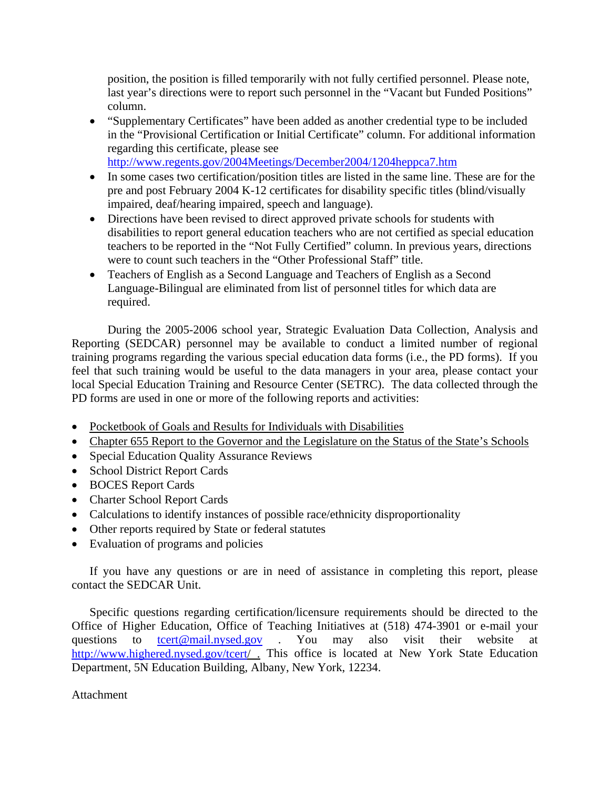position, the position is filled temporarily with not fully certified personnel. Please note, last year's directions were to report such personnel in the "Vacant but Funded Positions" column.

• "Supplementary Certificates" have been added as another credential type to be included in the "Provisional Certification or Initial Certificate" column. For additional information regarding this certificate, please see

http://www.regents.gov/2004Meetings/December2004/1204heppca7.htm

- In some cases two certification/position titles are listed in the same line. These are for the pre and post February 2004 K-12 certificates for disability specific titles (blind/visually impaired, deaf/hearing impaired, speech and language).
- Directions have been revised to direct approved private schools for students with disabilities to report general education teachers who are not certified as special education teachers to be reported in the "Not Fully Certified" column. In previous years, directions were to count such teachers in the "Other Professional Staff" title.
- Teachers of English as a Second Language and Teachers of English as a Second Language-Bilingual are eliminated from list of personnel titles for which data are required.

During the 2005-2006 school year, Strategic Evaluation Data Collection, Analysis and Reporting (SEDCAR) personnel may be available to conduct a limited number of regional training programs regarding the various special education data forms (i.e., the PD forms). If you feel that such training would be useful to the data managers in your area, please contact your local Special Education Training and Resource Center (SETRC). The data collected through the PD forms are used in one or more of the following reports and activities:

- Pocketbook of Goals and Results for Individuals with Disabilities
- Chapter 655 Report to the Governor and the Legislature on the Status of the State's Schools
- Special Education Quality Assurance Reviews
- School District Report Cards
- BOCES Report Cards
- Charter School Report Cards
- Calculations to identify instances of possible race/ethnicity disproportionality
- Other reports required by State or federal statutes
- Evaluation of programs and policies

If you have any questions or are in need of assistance in completing this report, please contact the SEDCAR Unit.

Specific questions regarding certification/licensure requirements should be directed to the Office of Higher Education, Office of Teaching Initiatives at (518) 474-3901 or e-mail your questions to **the transformal englest of the term** also visit their website at http://www.highered.nysed.gov/tcert/ . This office is located at New York State Education Department, 5N Education Building, Albany, New York, 12234.

## Attachment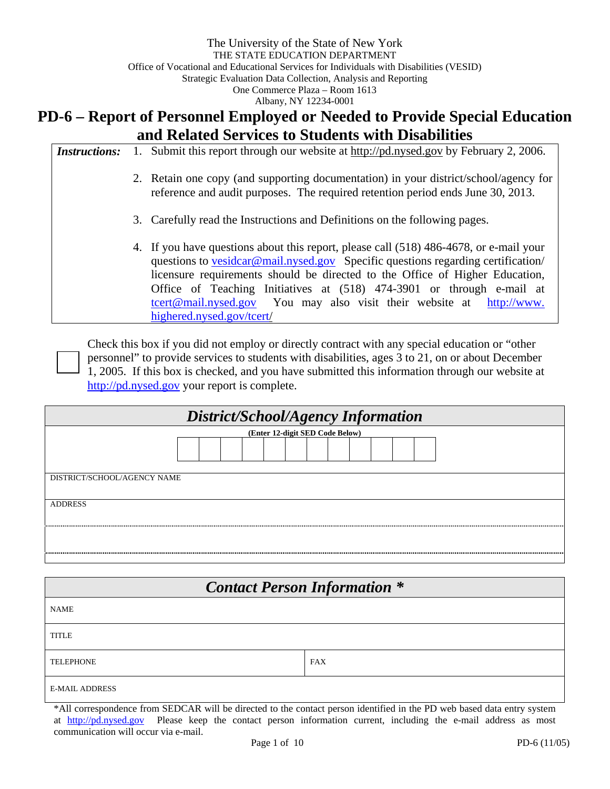# **PD-6 – Report of Personnel Employed or Needed to Provide Special Education and Related Services to Students with Disabilities**

| <i>Instructions:</i> |                                                                            | 1. Submit this report through our website at http://pd.nysed.gov by February 2, 2006.                                                                                                                                                                                                                                                                                                                                                    |  |  |  |  |  |
|----------------------|----------------------------------------------------------------------------|------------------------------------------------------------------------------------------------------------------------------------------------------------------------------------------------------------------------------------------------------------------------------------------------------------------------------------------------------------------------------------------------------------------------------------------|--|--|--|--|--|
|                      |                                                                            | 2. Retain one copy (and supporting documentation) in your district/school/agency for<br>reference and audit purposes. The required retention period ends June 30, 2013.                                                                                                                                                                                                                                                                  |  |  |  |  |  |
|                      | 3. Carefully read the Instructions and Definitions on the following pages. |                                                                                                                                                                                                                                                                                                                                                                                                                                          |  |  |  |  |  |
|                      |                                                                            | 4. If you have questions about this report, please call (518) 486-4678, or e-mail your<br>questions to vesidear@mail.nysed.gov Specific questions regarding certification/<br>licensure requirements should be directed to the Office of Higher Education,<br>Office of Teaching Initiatives at (518) 474-3901 or through e-mail at<br>teert@mail.nysed.gov You may also visit their website at http://www.<br>highered.nysed.gov/tcert/ |  |  |  |  |  |

Check this box if you did not employ or directly contract with any special education or "other personnel" to provide services to students with disabilities, ages 3 to 21, on or about December 1, 2005. If this box is checked, and you have submitted this information through our website at http://pd.nysed.gov your report is complete.

| District/School/Agency Information |  |  |  |  |  |  |  |  |  |  |  |
|------------------------------------|--|--|--|--|--|--|--|--|--|--|--|
| (Enter 12-digit SED Code Below)    |  |  |  |  |  |  |  |  |  |  |  |
|                                    |  |  |  |  |  |  |  |  |  |  |  |
|                                    |  |  |  |  |  |  |  |  |  |  |  |
| DISTRICT/SCHOOL/AGENCY NAME        |  |  |  |  |  |  |  |  |  |  |  |
| <b>ADDRESS</b>                     |  |  |  |  |  |  |  |  |  |  |  |
|                                    |  |  |  |  |  |  |  |  |  |  |  |
|                                    |  |  |  |  |  |  |  |  |  |  |  |

| <b>Contact Person Information *</b> |            |  |  |  |  |  |  |
|-------------------------------------|------------|--|--|--|--|--|--|
| <b>NAME</b>                         |            |  |  |  |  |  |  |
| <b>TITLE</b>                        |            |  |  |  |  |  |  |
| <b>TELEPHONE</b>                    | <b>FAX</b> |  |  |  |  |  |  |
| <b>E-MAIL ADDRESS</b>               |            |  |  |  |  |  |  |

\*All correspondence from SEDCAR will be directed to the contact person identified in the PD web based data entry system at http://pd.nysed.gov Please keep the contact person information current, including the e-mail address as most communication will occur via e-mail.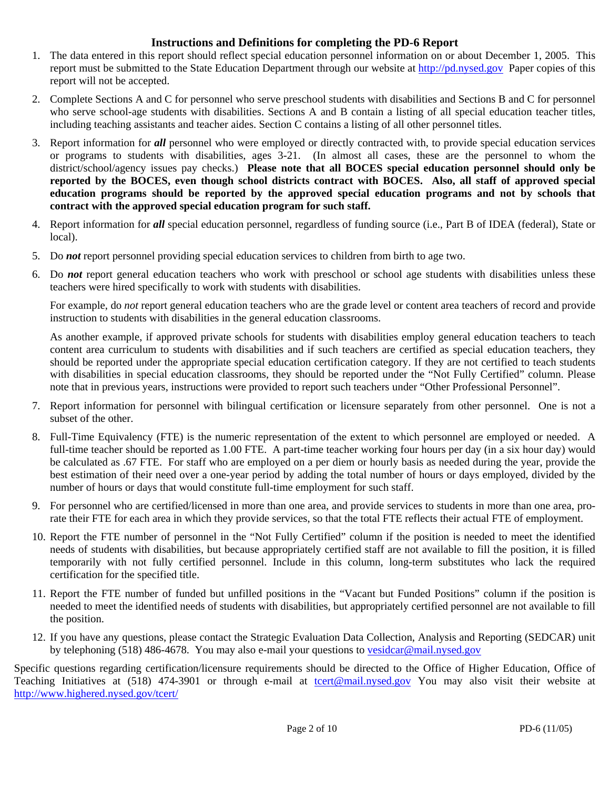## **Instructions and Definitions for completing the PD-6 Report**

- 1. The data entered in this report should reflect special education personnel information on or about December 1, 2005. This report must be submitted to the State Education Department through our website at http://pd.nysed.gov Paper copies of this report will not be accepted.
- 2. Complete Sections A and C for personnel who serve preschool students with disabilities and Sections B and C for personnel who serve school-age students with disabilities. Sections A and B contain a listing of all special education teacher titles, including teaching assistants and teacher aides. Section C contains a listing of all other personnel titles.
- 3. Report information for *all* personnel who were employed or directly contracted with, to provide special education services or programs to students with disabilities, ages 3-21. (In almost all cases, these are the personnel to whom the district/school/agency issues pay checks.) **Please note that all BOCES special education personnel should only be reported by the BOCES, even though school districts contract with BOCES. Also, all staff of approved special education programs should be reported by the approved special education programs and not by schools that contract with the approved special education program for such staff.**
- 4. Report information for *all* special education personnel, regardless of funding source (i.e., Part B of IDEA (federal), State or local).
- 5. Do *not* report personnel providing special education services to children from birth to age two.
- 6. Do *not* report general education teachers who work with preschool or school age students with disabilities unless these teachers were hired specifically to work with students with disabilities.

For example, do *not* report general education teachers who are the grade level or content area teachers of record and provide instruction to students with disabilities in the general education classrooms.

As another example, if approved private schools for students with disabilities employ general education teachers to teach content area curriculum to students with disabilities and if such teachers are certified as special education teachers, they should be reported under the appropriate special education certification category. If they are not certified to teach students with disabilities in special education classrooms, they should be reported under the "Not Fully Certified" column. Please note that in previous years, instructions were provided to report such teachers under "Other Professional Personnel".

- 7. Report information for personnel with bilingual certification or licensure separately from other personnel. One is not a subset of the other.
- 8. Full-Time Equivalency (FTE) is the numeric representation of the extent to which personnel are employed or needed. A full-time teacher should be reported as 1.00 FTE. A part-time teacher working four hours per day (in a six hour day) would be calculated as .67 FTE. For staff who are employed on a per diem or hourly basis as needed during the year, provide the best estimation of their need over a one-year period by adding the total number of hours or days employed, divided by the number of hours or days that would constitute full-time employment for such staff.
- 9. For personnel who are certified/licensed in more than one area, and provide services to students in more than one area, prorate their FTE for each area in which they provide services, so that the total FTE reflects their actual FTE of employment.
- 10. Report the FTE number of personnel in the "Not Fully Certified" column if the position is needed to meet the identified needs of students with disabilities, but because appropriately certified staff are not available to fill the position, it is filled temporarily with not fully certified personnel. Include in this column, long-term substitutes who lack the required certification for the specified title.
- 11. Report the FTE number of funded but unfilled positions in the "Vacant but Funded Positions" column if the position is needed to meet the identified needs of students with disabilities, but appropriately certified personnel are not available to fill the position.
- 12. If you have any questions, please contact the Strategic Evaluation Data Collection, Analysis and Reporting (SEDCAR) unit by telephoning (518) 486-4678. You may also e-mail your questions to vesidcar@mail.nysed.gov

Specific questions regarding certification/licensure requirements should be directed to the Office of Higher Education, Office of Teaching Initiatives at (518) 474-3901 or through e-mail at tcert@mail.nysed.gov You may also visit their website at http://www.highered.nysed.gov/tcert/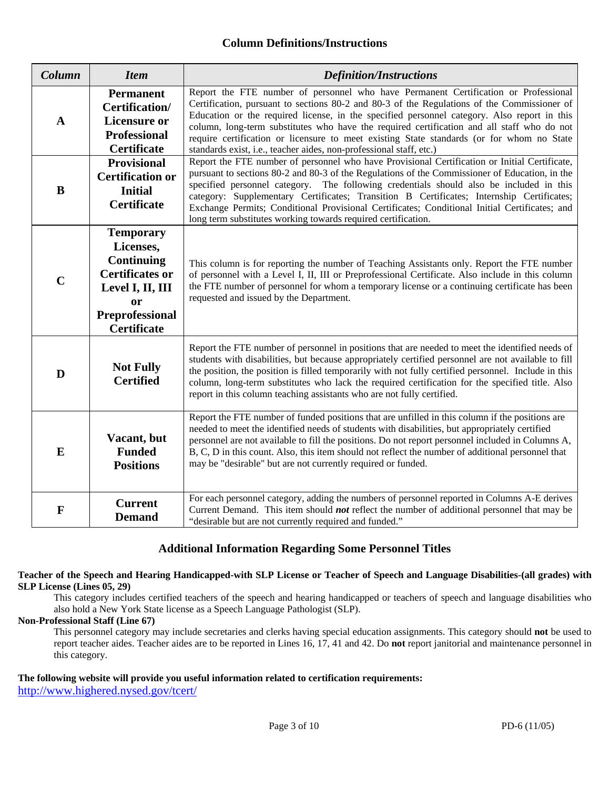## **Column Definitions/Instructions**

| Column      | <b>Item</b>                                                                                                                                                   | <b>Definition/Instructions</b>                                                                                                                                                                                                                                                                                                                                                                                                                                                                                                                            |
|-------------|---------------------------------------------------------------------------------------------------------------------------------------------------------------|-----------------------------------------------------------------------------------------------------------------------------------------------------------------------------------------------------------------------------------------------------------------------------------------------------------------------------------------------------------------------------------------------------------------------------------------------------------------------------------------------------------------------------------------------------------|
| $\mathbf A$ | <b>Permanent</b><br>Certification/<br><b>Licensure or</b><br><b>Professional</b><br><b>Certificate</b>                                                        | Report the FTE number of personnel who have Permanent Certification or Professional<br>Certification, pursuant to sections 80-2 and 80-3 of the Regulations of the Commissioner of<br>Education or the required license, in the specified personnel category. Also report in this<br>column, long-term substitutes who have the required certification and all staff who do not<br>require certification or licensure to meet existing State standards (or for whom no State<br>standards exist, i.e., teacher aides, non-professional staff, etc.)       |
| B           | <b>Provisional</b><br><b>Certification or</b><br><b>Initial</b><br><b>Certificate</b>                                                                         | Report the FTE number of personnel who have Provisional Certification or Initial Certificate,<br>pursuant to sections 80-2 and 80-3 of the Regulations of the Commissioner of Education, in the<br>specified personnel category. The following credentials should also be included in this<br>category: Supplementary Certificates; Transition B Certificates; Internship Certificates;<br>Exchange Permits; Conditional Provisional Certificates; Conditional Initial Certificates; and<br>long term substitutes working towards required certification. |
| $\mathbf C$ | <b>Temporary</b><br>Licenses,<br><b>Continuing</b><br><b>Certificates or</b><br>Level I, II, III<br><b>or</b><br><b>Preprofessional</b><br><b>Certificate</b> | This column is for reporting the number of Teaching Assistants only. Report the FTE number<br>of personnel with a Level I, II, III or Preprofessional Certificate. Also include in this column<br>the FTE number of personnel for whom a temporary license or a continuing certificate has been<br>requested and issued by the Department.                                                                                                                                                                                                                |
| D           | <b>Not Fully</b><br><b>Certified</b>                                                                                                                          | Report the FTE number of personnel in positions that are needed to meet the identified needs of<br>students with disabilities, but because appropriately certified personnel are not available to fill<br>the position, the position is filled temporarily with not fully certified personnel. Include in this<br>column, long-term substitutes who lack the required certification for the specified title. Also<br>report in this column teaching assistants who are not fully certified.                                                               |
| E           | Vacant, but<br><b>Funded</b><br><b>Positions</b>                                                                                                              | Report the FTE number of funded positions that are unfilled in this column if the positions are<br>needed to meet the identified needs of students with disabilities, but appropriately certified<br>personnel are not available to fill the positions. Do not report personnel included in Columns A,<br>B, C, D in this count. Also, this item should not reflect the number of additional personnel that<br>may be "desirable" but are not currently required or funded.                                                                               |
| $\mathbf F$ | <b>Current</b><br><b>Demand</b>                                                                                                                               | For each personnel category, adding the numbers of personnel reported in Columns A-E derives<br>Current Demand. This item should <i>not</i> reflect the number of additional personnel that may be<br>"desirable but are not currently required and funded."                                                                                                                                                                                                                                                                                              |

## **Additional Information Regarding Some Personnel Titles**

#### **Teacher of the Speech and Hearing Handicapped-with SLP License or Teacher of Speech and Language Disabilities-(all grades) with SLP License (Lines 05, 29)**

This category includes certified teachers of the speech and hearing handicapped or teachers of speech and language disabilities who also hold a New York State license as a Speech Language Pathologist (SLP).

### **Non-Professional Staff (Line 67)**

 This personnel category may include secretaries and clerks having special education assignments. This category should **not** be used to report teacher aides. Teacher aides are to be reported in Lines 16, 17, 41 and 42. Do **not** report janitorial and maintenance personnel in this category.

# **The following website will provide you useful information related to certification requirements:**

http://www.highered.nysed.gov/tcert/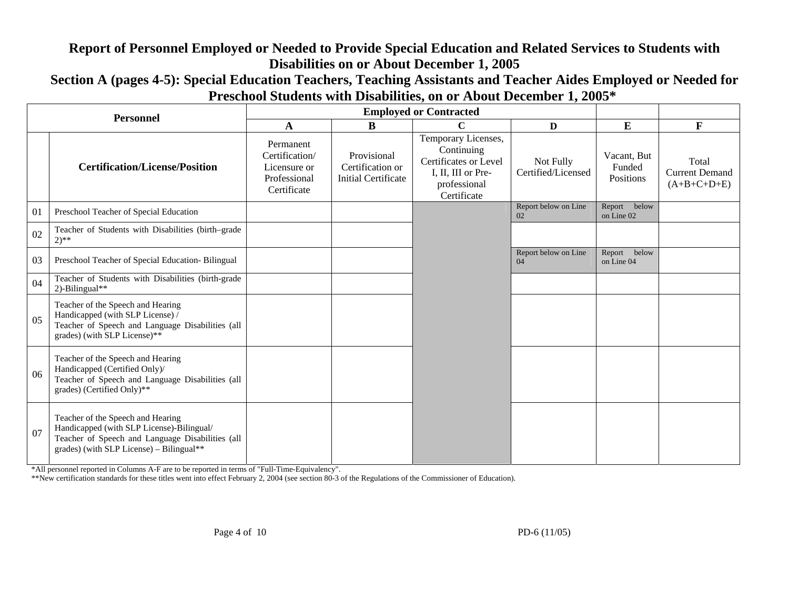# **Report of Personnel Employed or Needed to Provide Special Education and Related Services to Students with Disabilities on or About December 1, 2005**

**Section A (pages 4-5): Special Education Teachers, Teaching Assistants and Teacher Aides Employed or Needed for Preschool Students with Disabilities, on or About December 1, 2005\*** 

| <b>Personnel</b> |                                                                                                                                                                                |                                                                            | <b>Employed or Contracted</b>                                 |                                                                                                                 |                                 |                                    |                                                 |
|------------------|--------------------------------------------------------------------------------------------------------------------------------------------------------------------------------|----------------------------------------------------------------------------|---------------------------------------------------------------|-----------------------------------------------------------------------------------------------------------------|---------------------------------|------------------------------------|-------------------------------------------------|
|                  |                                                                                                                                                                                | A                                                                          | B                                                             | C                                                                                                               | $\mathbf{D}$                    | E                                  | $\mathbf{F}$                                    |
|                  | <b>Certification/License/Position</b>                                                                                                                                          | Permanent<br>Certification/<br>Licensure or<br>Professional<br>Certificate | Provisional<br>Certification or<br><b>Initial Certificate</b> | Temporary Licenses,<br>Continuing<br>Certificates or Level<br>I, II, III or Pre-<br>professional<br>Certificate | Not Fully<br>Certified/Licensed | Vacant, But<br>Funded<br>Positions | Total<br><b>Current Demand</b><br>$(A+B+C+D+E)$ |
| 01               | Preschool Teacher of Special Education                                                                                                                                         |                                                                            |                                                               |                                                                                                                 | Report below on Line<br>02      | below<br>Report<br>on Line 02      |                                                 |
| 02               | Teacher of Students with Disabilities (birth-grade<br>$2)$ **                                                                                                                  |                                                                            |                                                               |                                                                                                                 |                                 |                                    |                                                 |
| 03               | Preschool Teacher of Special Education-Bilingual                                                                                                                               |                                                                            |                                                               |                                                                                                                 | Report below on Line<br>04      | Report below<br>on Line 04         |                                                 |
| 04               | Teacher of Students with Disabilities (birth-grade<br>2)-Bilingual**                                                                                                           |                                                                            |                                                               |                                                                                                                 |                                 |                                    |                                                 |
| 05               | Teacher of the Speech and Hearing<br>Handicapped (with SLP License) /<br>Teacher of Speech and Language Disabilities (all<br>grades) (with SLP License)**                      |                                                                            |                                                               |                                                                                                                 |                                 |                                    |                                                 |
| 06               | Teacher of the Speech and Hearing<br>Handicapped (Certified Only)/<br>Teacher of Speech and Language Disabilities (all<br>grades) (Certified Only)**                           |                                                                            |                                                               |                                                                                                                 |                                 |                                    |                                                 |
| 07               | Teacher of the Speech and Hearing<br>Handicapped (with SLP License)-Bilingual/<br>Teacher of Speech and Language Disabilities (all<br>grades) (with SLP License) - Bilingual** |                                                                            |                                                               |                                                                                                                 |                                 |                                    |                                                 |

\*All personnel reported in Columns A-F are to be reported in terms of "Full-Time-Equivalency".

\*\*New certification standards for these titles went into effect February 2, 2004 (see section 80-3 of the Regulations of the Commissioner of Education).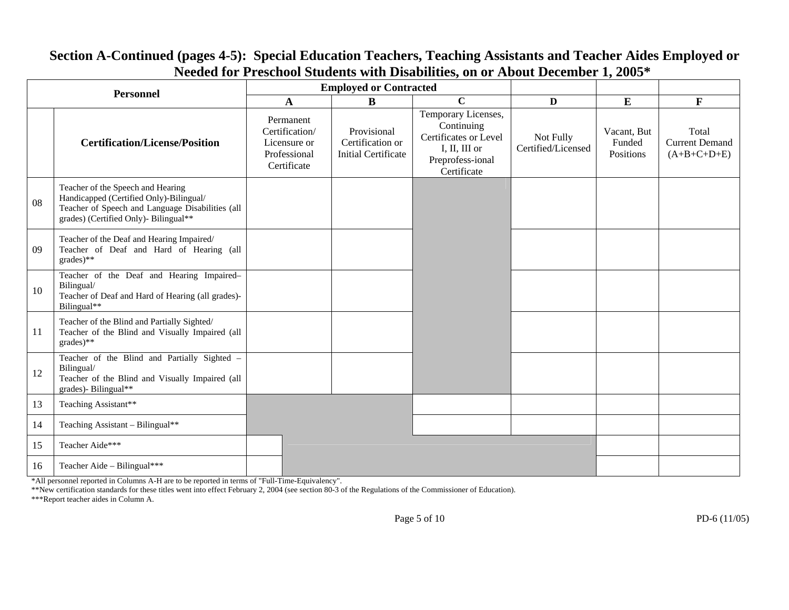| <b>Personnel</b> |                                                                                                                                                                           |                                                                            | <b>Employed or Contracted</b>                                 |                                                                                                                |                                 |                                    |                                                 |
|------------------|---------------------------------------------------------------------------------------------------------------------------------------------------------------------------|----------------------------------------------------------------------------|---------------------------------------------------------------|----------------------------------------------------------------------------------------------------------------|---------------------------------|------------------------------------|-------------------------------------------------|
|                  |                                                                                                                                                                           | $\mathbf{A}$                                                               | $\bf{B}$                                                      | $\mathbf C$                                                                                                    | D                               | E                                  | $\mathbf F$                                     |
|                  | <b>Certification/License/Position</b>                                                                                                                                     | Permanent<br>Certification/<br>Licensure or<br>Professional<br>Certificate | Provisional<br>Certification or<br><b>Initial Certificate</b> | Temporary Licenses,<br>Continuing<br>Certificates or Level<br>I, II, III or<br>Preprofess-ional<br>Certificate | Not Fully<br>Certified/Licensed | Vacant, But<br>Funded<br>Positions | Total<br><b>Current Demand</b><br>$(A+B+C+D+E)$ |
| 08               | Teacher of the Speech and Hearing<br>Handicapped (Certified Only)-Bilingual/<br>Teacher of Speech and Language Disabilities (all<br>grades) (Certified Only)- Bilingual** |                                                                            |                                                               |                                                                                                                |                                 |                                    |                                                 |
| 0 <sup>9</sup>   | Teacher of the Deaf and Hearing Impaired/<br>Teacher of Deaf and Hard of Hearing (all<br>grades)**                                                                        |                                                                            |                                                               |                                                                                                                |                                 |                                    |                                                 |
| 10               | Teacher of the Deaf and Hearing Impaired-<br>Bilingual/<br>Teacher of Deaf and Hard of Hearing (all grades)-<br>Bilingual**                                               |                                                                            |                                                               |                                                                                                                |                                 |                                    |                                                 |
| 11               | Teacher of the Blind and Partially Sighted/<br>Teacher of the Blind and Visually Impaired (all<br>$grades)$ **                                                            |                                                                            |                                                               |                                                                                                                |                                 |                                    |                                                 |
| 12               | Teacher of the Blind and Partially Sighted -<br>Bilingual/<br>Teacher of the Blind and Visually Impaired (all<br>grades)- Bilingual**                                     |                                                                            |                                                               |                                                                                                                |                                 |                                    |                                                 |
| 13               | Teaching Assistant**                                                                                                                                                      |                                                                            |                                                               |                                                                                                                |                                 |                                    |                                                 |
| 14               | Teaching Assistant - Bilingual**                                                                                                                                          |                                                                            |                                                               |                                                                                                                |                                 |                                    |                                                 |
| 15               | Teacher Aide***                                                                                                                                                           |                                                                            |                                                               |                                                                                                                |                                 |                                    |                                                 |
| 16               | Teacher Aide - Bilingual***                                                                                                                                               |                                                                            |                                                               |                                                                                                                |                                 |                                    |                                                 |

## **Section A-Continued (pages 4-5): Special Education Teachers, Teaching Assistants and Teacher Aides Employed or Needed for Preschool Students with Disabilities, on or About December 1, 2005\***

\*All personnel reported in Columns A-H are to be reported in terms of "Full-Time-Equivalency".

\*\*New certification standards for these titles went into effect February 2, 2004 (see section 80-3 of the Regulations of the Commissioner of Education).

\*\*\*Report teacher aides in Column A.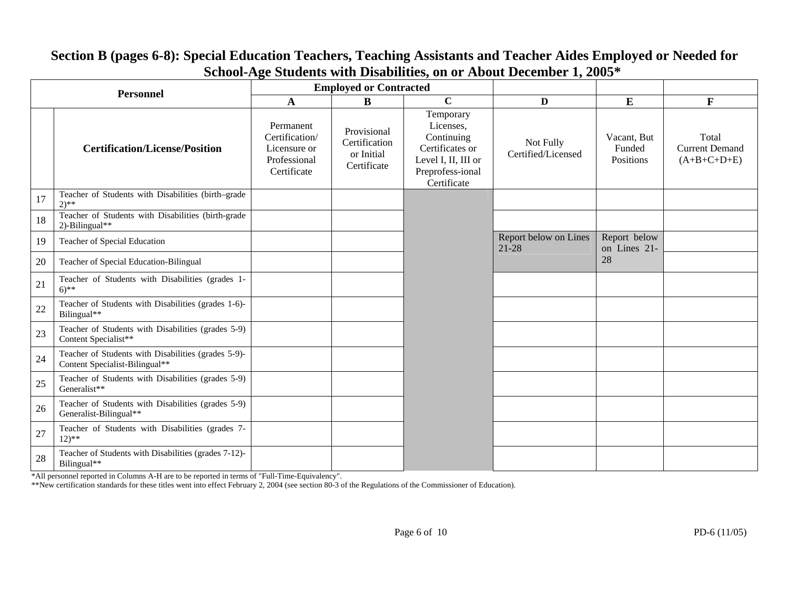| <b>Personnel</b> |                                                                                       | 0                                                                          | <b>Employed or Contracted</b>                             |                                                                                                                   |                                    |                                    |                                                 |
|------------------|---------------------------------------------------------------------------------------|----------------------------------------------------------------------------|-----------------------------------------------------------|-------------------------------------------------------------------------------------------------------------------|------------------------------------|------------------------------------|-------------------------------------------------|
|                  |                                                                                       | A                                                                          | B                                                         | $\overline{c}$                                                                                                    | D                                  | E                                  | $\mathbf{F}$                                    |
|                  | <b>Certification/License/Position</b>                                                 | Permanent<br>Certification/<br>Licensure or<br>Professional<br>Certificate | Provisional<br>Certification<br>or Initial<br>Certificate | Temporary<br>Licenses,<br>Continuing<br>Certificates or<br>Level I, II, III or<br>Preprofess-ional<br>Certificate | Not Fully<br>Certified/Licensed    | Vacant, But<br>Funded<br>Positions | Total<br><b>Current Demand</b><br>$(A+B+C+D+E)$ |
| 17               | Teacher of Students with Disabilities (birth-grade<br>$2)$ **                         |                                                                            |                                                           |                                                                                                                   |                                    |                                    |                                                 |
| 18               | Teacher of Students with Disabilities (birth-grade<br>2)-Bilingual**                  |                                                                            |                                                           |                                                                                                                   |                                    |                                    |                                                 |
| 19               | Teacher of Special Education                                                          |                                                                            |                                                           |                                                                                                                   | Report below on Lines<br>$21 - 28$ | Report below<br>on Lines 21-       |                                                 |
| 20               | Teacher of Special Education-Bilingual                                                |                                                                            |                                                           |                                                                                                                   |                                    | 28                                 |                                                 |
| 21               | Teacher of Students with Disabilities (grades 1-<br>$6)$ **                           |                                                                            |                                                           |                                                                                                                   |                                    |                                    |                                                 |
| 22               | Teacher of Students with Disabilities (grades 1-6)-<br>Bilingual**                    |                                                                            |                                                           |                                                                                                                   |                                    |                                    |                                                 |
| 23               | Teacher of Students with Disabilities (grades 5-9)<br>Content Specialist**            |                                                                            |                                                           |                                                                                                                   |                                    |                                    |                                                 |
| 24               | Teacher of Students with Disabilities (grades 5-9)-<br>Content Specialist-Bilingual** |                                                                            |                                                           |                                                                                                                   |                                    |                                    |                                                 |
| 25               | Teacher of Students with Disabilities (grades 5-9)<br>Generalist**                    |                                                                            |                                                           |                                                                                                                   |                                    |                                    |                                                 |
| 26               | Teacher of Students with Disabilities (grades 5-9)<br>Generalist-Bilingual**          |                                                                            |                                                           |                                                                                                                   |                                    |                                    |                                                 |
| 27               | Teacher of Students with Disabilities (grades 7-<br>$12)**$                           |                                                                            |                                                           |                                                                                                                   |                                    |                                    |                                                 |
| 28               | Teacher of Students with Disabilities (grades 7-12)-<br>Bilingual**                   |                                                                            |                                                           |                                                                                                                   |                                    |                                    |                                                 |

## **Section B (pages 6-8): Special Education Teachers, Teaching Assistants and Teacher Aides Employed or Needed for School-Age Students with Disabilities, on or About December 1, 2005\***

\*All personnel reported in Columns A-H are to be reported in terms of "Full-Time-Equivalency".

\*\*New certification standards for these titles went into effect February 2, 2004 (see section 80-3 of the Regulations of the Commissioner of Education).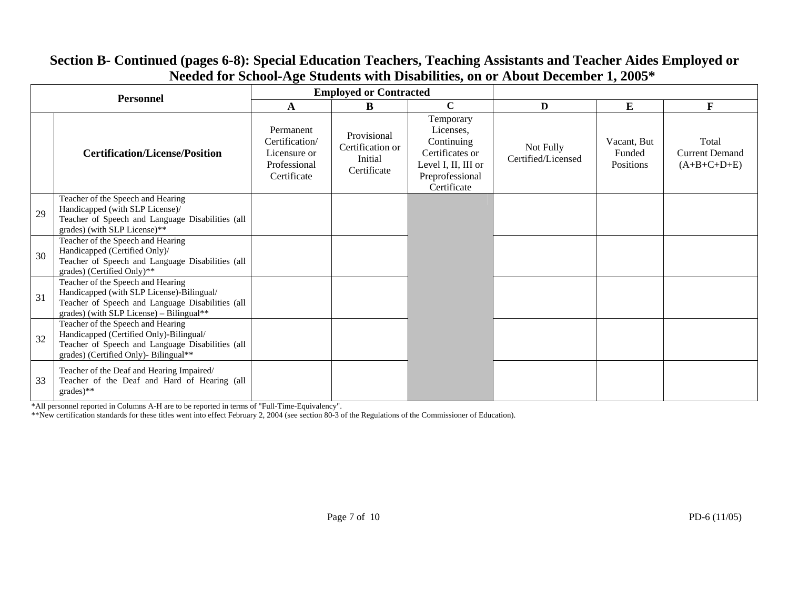#### **Employed or Contracted Personnel** <br> **A A B C DD E F Certification/License/Position** Permanent Certification/ Licensure or Professional Certificate Provisional Certification or Initial Certificate Temporary Licenses, Continuing Certificates or Level I, II, III or Preprofessional Certificate Not Fully Certified/Licensed Vacant, But Funded Positions Total Current Demand  $(A+B+C+D+E)$ 29 Teacher of the Speech and Hearing Handicapped (with SLP License)/ Teacher of Speech and Language Disabilities (all grades) (with SLP License)\*\* 30 Teacher of the Speech and Hearing Handicapped (Certified Only)/ Teacher of Speech and Language Disabilities (all grades) (Certified Only)\*\* 31 Teacher of the Speech and Hearing Handicapped (with SLP License)-Bilingual/ Teacher of Speech and Language Disabilities (all grades) (with SLP License) – Bilingual\*\* 32 Teacher of the Speech and Hearing Handicapped (Certified Only)-Bilingual/ Teacher of Speech and Language Disabilities (all grades) (Certified Only)- Bilingual\*\* 33 Teacher of the Deaf and Hearing Impaired/ Teacher of the Deaf and Hard of Hearing (all grades)\*\*

# **Section B- Continued (pages 6-8): Special Education Teachers, Teaching Assistants and Teacher Aides Employed or Needed for School-Age Students with Disabilities, on or About December 1, 2005\***

\*All personnel reported in Columns A-H are to be reported in terms of "Full-Time-Equivalency".

\*\*New certification standards for these titles went into effect February 2, 2004 (see section 80-3 of the Regulations of the Commissioner of Education).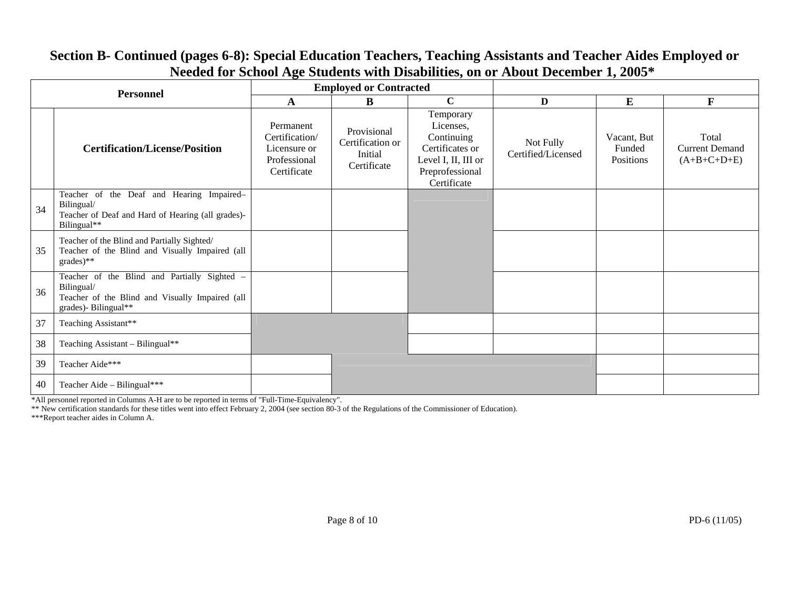| <b>Personnel</b> |                                                                                                                                       |                                                                            | <b>Employed or Contracted</b>                             |                                                                                                                  |                                 |                                    |                                                 |
|------------------|---------------------------------------------------------------------------------------------------------------------------------------|----------------------------------------------------------------------------|-----------------------------------------------------------|------------------------------------------------------------------------------------------------------------------|---------------------------------|------------------------------------|-------------------------------------------------|
|                  |                                                                                                                                       | A                                                                          | B                                                         | $\mathbf C$                                                                                                      | $\mathbf{D}$                    | $\bf{E}$                           | $\mathbf{F}$                                    |
|                  | <b>Certification/License/Position</b>                                                                                                 | Permanent<br>Certification/<br>Licensure or<br>Professional<br>Certificate | Provisional<br>Certification or<br>Initial<br>Certificate | Temporary<br>Licenses,<br>Continuing<br>Certificates or<br>Level I, II, III or<br>Preprofessional<br>Certificate | Not Fully<br>Certified/Licensed | Vacant, But<br>Funded<br>Positions | Total<br><b>Current Demand</b><br>$(A+B+C+D+E)$ |
| 34               | Teacher of the Deaf and Hearing Impaired-<br>Bilingual/<br>Teacher of Deaf and Hard of Hearing (all grades)-<br>Bilingual**           |                                                                            |                                                           |                                                                                                                  |                                 |                                    |                                                 |
| 35               | Teacher of the Blind and Partially Sighted/<br>Teacher of the Blind and Visually Impaired (all<br>grades)**                           |                                                                            |                                                           |                                                                                                                  |                                 |                                    |                                                 |
| 36               | Teacher of the Blind and Partially Sighted -<br>Bilingual/<br>Teacher of the Blind and Visually Impaired (all<br>grades)- Bilingual** |                                                                            |                                                           |                                                                                                                  |                                 |                                    |                                                 |
| 37               | Teaching Assistant**                                                                                                                  |                                                                            |                                                           |                                                                                                                  |                                 |                                    |                                                 |
| 38               | Teaching Assistant - Bilingual**                                                                                                      |                                                                            |                                                           |                                                                                                                  |                                 |                                    |                                                 |
| 39               | Teacher Aide***                                                                                                                       |                                                                            |                                                           |                                                                                                                  |                                 |                                    |                                                 |
| 40               | Teacher Aide - Bilingual***                                                                                                           |                                                                            |                                                           |                                                                                                                  |                                 |                                    |                                                 |

# **Section B- Continued (pages 6-8): Special Education Teachers, Teaching Assistants and Teacher Aides Employed or Needed for School Age Students with Disabilities, on or About December 1, 2005\***

\*All personnel reported in Columns A-H are to be reported in terms of "Full-Time-Equivalency".

\*\* New certification standards for these titles went into effect February 2, 2004 (see section 80-3 of the Regulations of the Commissioner of Education).

\*\*\*Report teacher aides in Column A.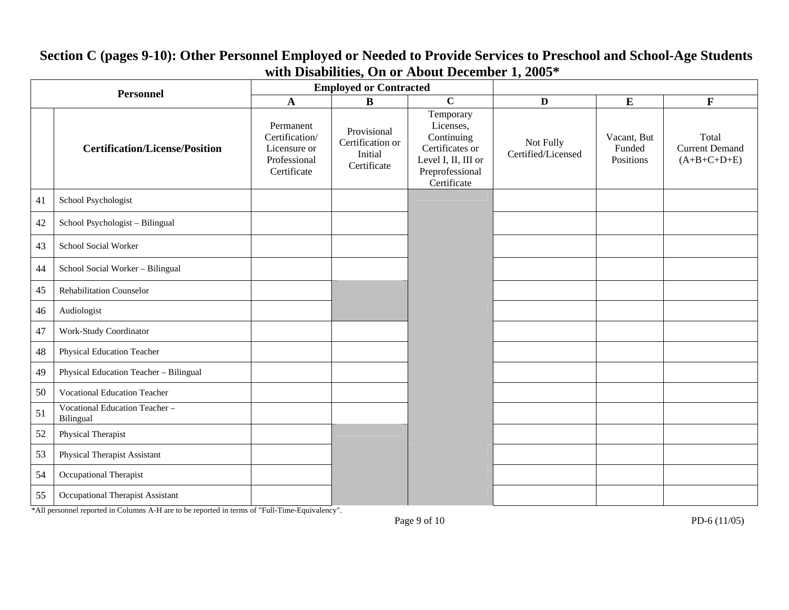| <b>Employed or Contracted</b><br><b>Personnel</b> |                                            |                                                                            |                                                           |                                                                                                                  |                                 |                                    |                                                 |
|---------------------------------------------------|--------------------------------------------|----------------------------------------------------------------------------|-----------------------------------------------------------|------------------------------------------------------------------------------------------------------------------|---------------------------------|------------------------------------|-------------------------------------------------|
|                                                   |                                            | $\mathbf{A}$                                                               | $\bf{B}$                                                  | $\overline{c}$                                                                                                   | $\mathbf D$                     | ${\bf E}$                          | $\mathbf{F}$                                    |
|                                                   | <b>Certification/License/Position</b>      | Permanent<br>Certification/<br>Licensure or<br>Professional<br>Certificate | Provisional<br>Certification or<br>Initial<br>Certificate | Temporary<br>Licenses,<br>Continuing<br>Certificates or<br>Level I, II, III or<br>Preprofessional<br>Certificate | Not Fully<br>Certified/Licensed | Vacant, But<br>Funded<br>Positions | Total<br><b>Current Demand</b><br>$(A+B+C+D+E)$ |
| 41                                                | School Psychologist                        |                                                                            |                                                           |                                                                                                                  |                                 |                                    |                                                 |
| 42                                                | School Psychologist - Bilingual            |                                                                            |                                                           |                                                                                                                  |                                 |                                    |                                                 |
| 43                                                | School Social Worker                       |                                                                            |                                                           |                                                                                                                  |                                 |                                    |                                                 |
| 44                                                | School Social Worker - Bilingual           |                                                                            |                                                           |                                                                                                                  |                                 |                                    |                                                 |
| 45                                                | <b>Rehabilitation Counselor</b>            |                                                                            |                                                           |                                                                                                                  |                                 |                                    |                                                 |
| 46                                                | Audiologist                                |                                                                            |                                                           |                                                                                                                  |                                 |                                    |                                                 |
| 47                                                | Work-Study Coordinator                     |                                                                            |                                                           |                                                                                                                  |                                 |                                    |                                                 |
| 48                                                | Physical Education Teacher                 |                                                                            |                                                           |                                                                                                                  |                                 |                                    |                                                 |
| 49                                                | Physical Education Teacher - Bilingual     |                                                                            |                                                           |                                                                                                                  |                                 |                                    |                                                 |
| 50                                                | <b>Vocational Education Teacher</b>        |                                                                            |                                                           |                                                                                                                  |                                 |                                    |                                                 |
| 51                                                | Vocational Education Teacher-<br>Bilingual |                                                                            |                                                           |                                                                                                                  |                                 |                                    |                                                 |
| 52                                                | Physical Therapist                         |                                                                            |                                                           |                                                                                                                  |                                 |                                    |                                                 |
| 53                                                | Physical Therapist Assistant               |                                                                            |                                                           |                                                                                                                  |                                 |                                    |                                                 |
| 54                                                | Occupational Therapist                     |                                                                            |                                                           |                                                                                                                  |                                 |                                    |                                                 |
| 55                                                | Occupational Therapist Assistant           |                                                                            |                                                           |                                                                                                                  |                                 |                                    |                                                 |

# **Section C (pages 9-10): Other Personnel Employed or Needed to Provide Services to Preschool and School-Age Students with Disabilities, On or About December 1, 2005\***

\*All personnel reported in Columns A-H are to be reported in terms of "Full-Time-Equivalency".